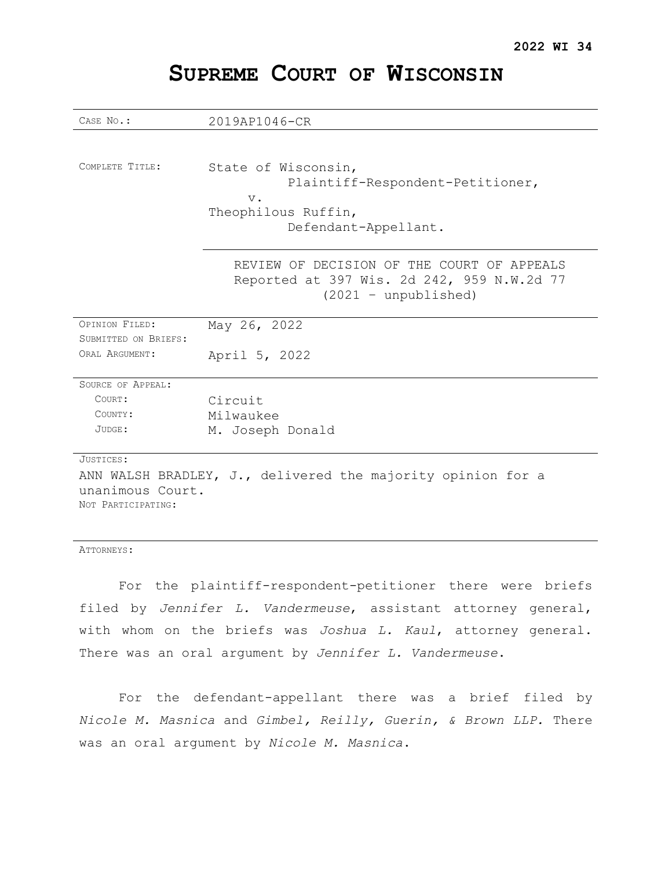| CASE No.:                                                   | 2019AP1046-CR                                                                                                      |
|-------------------------------------------------------------|--------------------------------------------------------------------------------------------------------------------|
|                                                             |                                                                                                                    |
| COMPLETE TITLE:                                             | State of Wisconsin,<br>Plaintiff-Respondent-Petitioner,<br>$V$ .<br>Theophilous Ruffin,                            |
|                                                             | Defendant-Appellant.                                                                                               |
|                                                             | REVIEW OF DECISION OF THE COURT OF APPEALS<br>Reported at 397 Wis. 2d 242, 959 N.W.2d 77<br>$(2021 - unpublished)$ |
| OPINION FILED:                                              | May 26, 2022                                                                                                       |
| SUBMITTED ON BRIEFS:                                        |                                                                                                                    |
| ORAT, ARGUMENT:                                             | April 5, 2022                                                                                                      |
| SOURCE OF APPEAL:                                           |                                                                                                                    |
| COURT:                                                      | Circuit                                                                                                            |
| COUNTY:                                                     | Milwaukee                                                                                                          |
| JUDGE:                                                      | M. Joseph Donald                                                                                                   |
| JUSTICES:                                                   |                                                                                                                    |
| ANN WALSH BRADLEY, J., delivered the majority opinion for a |                                                                                                                    |
| unanimous Court.                                            |                                                                                                                    |
| NOT PARTICIPATING:                                          |                                                                                                                    |
|                                                             |                                                                                                                    |

# **SUPREME COURT OF WISCONSIN**

ATTORNEYS:

For the plaintiff-respondent-petitioner there were briefs filed by *Jennifer L. Vandermeuse*, assistant attorney general, with whom on the briefs was *Joshua L. Kaul*, attorney general. There was an oral argument by *Jennifer L. Vandermeuse*.

For the defendant-appellant there was a brief filed by *Nicole M. Masnica* and *Gimbel, Reilly, Guerin, & Brown LLP.* There was an oral argument by *Nicole M. Masnica*.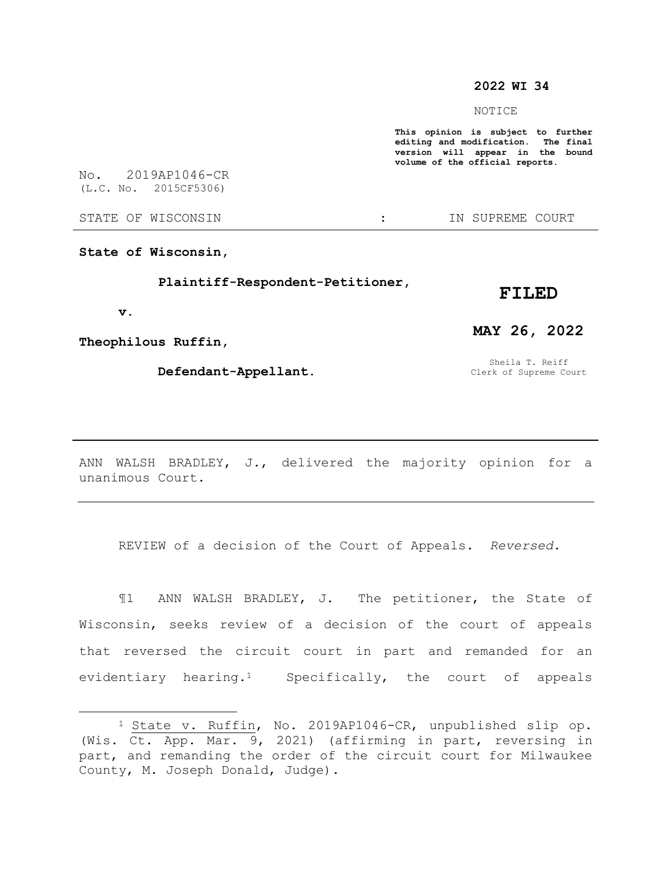## **2022 WI 34**

NOTICE

**This opinion is subject to further editing and modification. The final version will appear in the bound volume of the official reports.** 

No. 2019AP1046-CR (L.C. No. 2015CF5306)

STATE OF WISCONSIN  $\qquad \qquad : \qquad \qquad$  IN SUPREME COURT

**State of Wisconsin,**

 **Plaintiff-Respondent-Petitioner,**

### **FILED**

 **v.**

 $\overline{a}$ 

**Theophilous Ruffin,**

 **Defendant-Appellant.**

# **MAY 26, 2022**

Sheila T. Reiff Clerk of Supreme Court

ANN WALSH BRADLEY, J., delivered the majority opinion for a unanimous Court.

REVIEW of a decision of the Court of Appeals. *Reversed.*

¶1 ANN WALSH BRADLEY, J. The petitioner, the State of Wisconsin, seeks review of a decision of the court of appeals that reversed the circuit court in part and remanded for an evidentiary hearing.1 Specifically, the court of appeals

<sup>1</sup> State v. Ruffin, No. 2019AP1046-CR, unpublished slip op. (Wis. Ct. App. Mar. 9, 2021) (affirming in part, reversing in part, and remanding the order of the circuit court for Milwaukee County, M. Joseph Donald, Judge).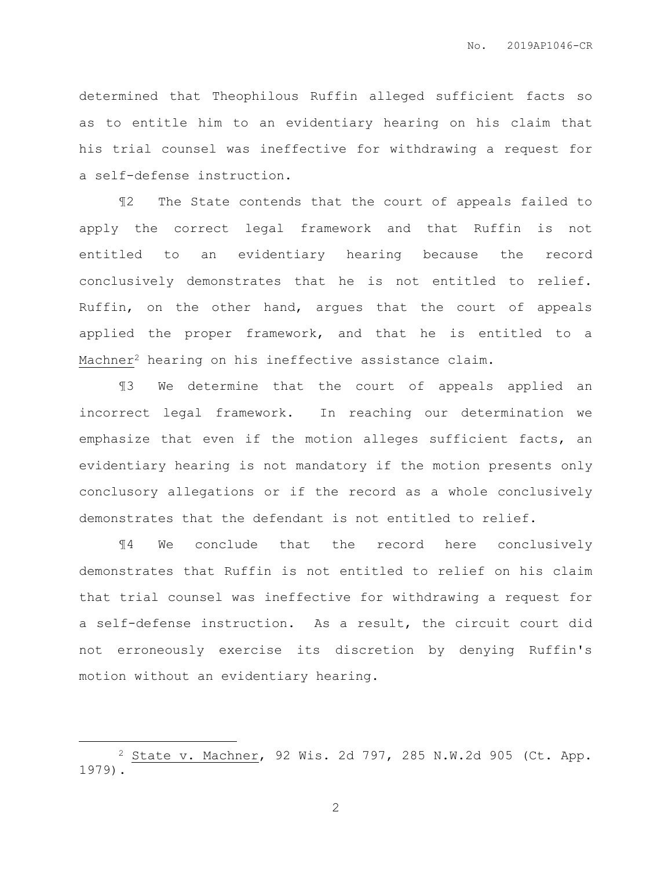determined that Theophilous Ruffin alleged sufficient facts so as to entitle him to an evidentiary hearing on his claim that his trial counsel was ineffective for withdrawing a request for a self-defense instruction.

¶2 The State contends that the court of appeals failed to apply the correct legal framework and that Ruffin is not entitled to an evidentiary hearing because the record conclusively demonstrates that he is not entitled to relief. Ruffin, on the other hand, argues that the court of appeals applied the proper framework, and that he is entitled to a Machner<sup>2</sup> hearing on his ineffective assistance claim.

¶3 We determine that the court of appeals applied an incorrect legal framework. In reaching our determination we emphasize that even if the motion alleges sufficient facts, an evidentiary hearing is not mandatory if the motion presents only conclusory allegations or if the record as a whole conclusively demonstrates that the defendant is not entitled to relief.

¶4 We conclude that the record here conclusively demonstrates that Ruffin is not entitled to relief on his claim that trial counsel was ineffective for withdrawing a request for a self-defense instruction. As a result, the circuit court did not erroneously exercise its discretion by denying Ruffin's motion without an evidentiary hearing.

 $\overline{a}$ 

<sup>2</sup> State v. Machner, 92 Wis. 2d 797, 285 N.W.2d 905 (Ct. App. 1979).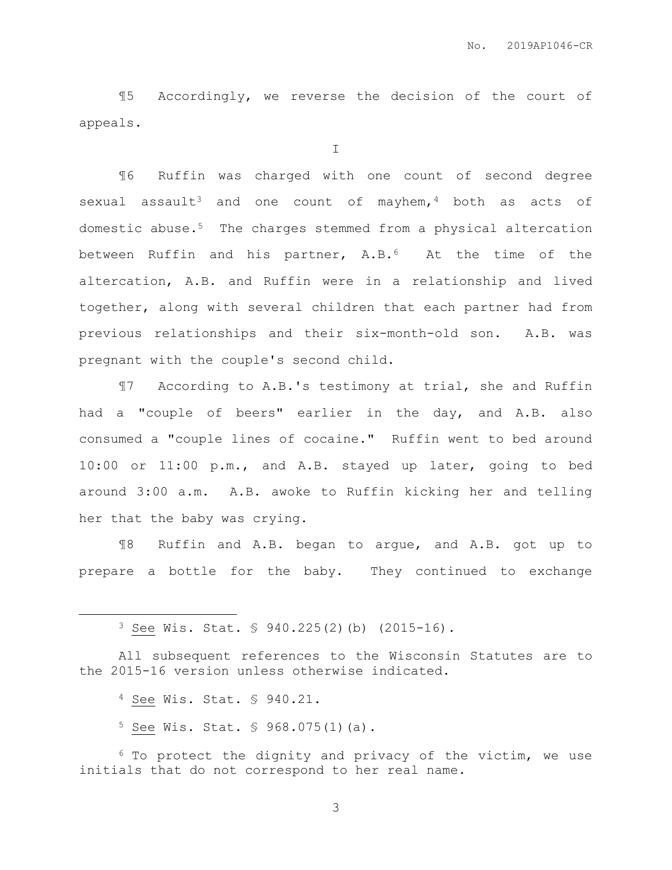¶5 Accordingly, we reverse the decision of the court of appeals.

I

¶6 Ruffin was charged with one count of second degree sexual assault<sup>3</sup> and one count of mayhem,  $4$  both as acts of domestic abuse.5 The charges stemmed from a physical altercation between Ruffin and his partner, A.B.6 At the time of the altercation, A.B. and Ruffin were in a relationship and lived together, along with several children that each partner had from previous relationships and their six-month-old son. A.B. was pregnant with the couple's second child.

¶7 According to A.B.'s testimony at trial, she and Ruffin had a "couple of beers" earlier in the day, and A.B. also consumed a "couple lines of cocaine." Ruffin went to bed around 10:00 or 11:00 p.m., and A.B. stayed up later, going to bed around 3:00 a.m. A.B. awoke to Ruffin kicking her and telling her that the baby was crying.

¶8 Ruffin and A.B. began to argue, and A.B. got up to prepare a bottle for the baby. They continued to exchange

<sup>3</sup> See Wis. Stat. § 940.225(2)(b) (2015-16).

All subsequent references to the Wisconsin Statutes are to the 2015-16 version unless otherwise indicated.

<sup>4</sup> See Wis. Stat. § 940.21.

 $\overline{a}$ 

<sup>5</sup> See Wis. Stat. § 968.075(1)(a).

<sup>6</sup> To protect the dignity and privacy of the victim, we use initials that do not correspond to her real name.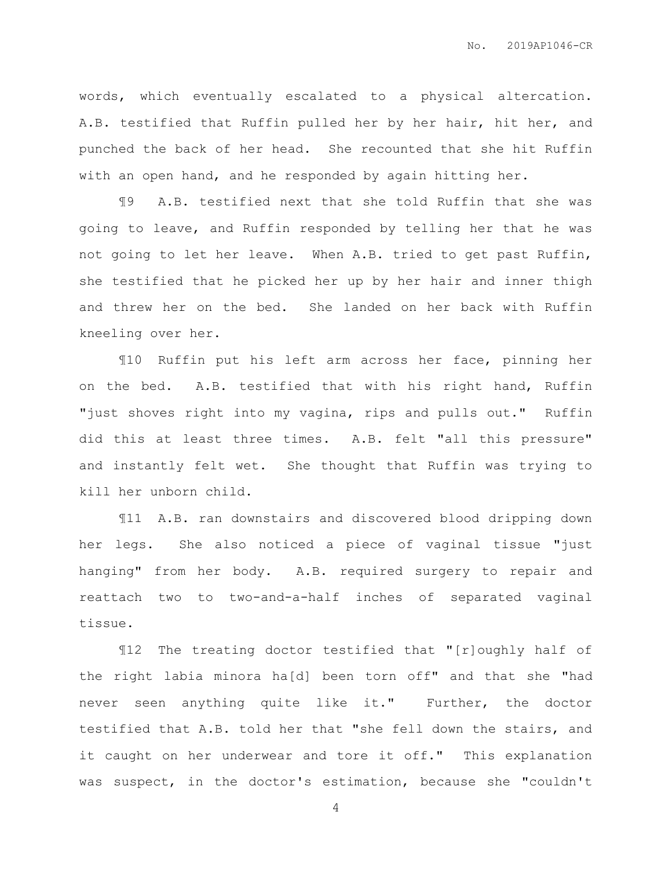words, which eventually escalated to a physical altercation. A.B. testified that Ruffin pulled her by her hair, hit her, and punched the back of her head. She recounted that she hit Ruffin with an open hand, and he responded by again hitting her.

¶9 A.B. testified next that she told Ruffin that she was going to leave, and Ruffin responded by telling her that he was not going to let her leave. When A.B. tried to get past Ruffin, she testified that he picked her up by her hair and inner thigh and threw her on the bed. She landed on her back with Ruffin kneeling over her.

¶10 Ruffin put his left arm across her face, pinning her on the bed. A.B. testified that with his right hand, Ruffin "just shoves right into my vagina, rips and pulls out." Ruffin did this at least three times. A.B. felt "all this pressure" and instantly felt wet. She thought that Ruffin was trying to kill her unborn child.

¶11 A.B. ran downstairs and discovered blood dripping down her legs. She also noticed a piece of vaginal tissue "just hanging" from her body. A.B. required surgery to repair and reattach two to two-and-a-half inches of separated vaginal tissue.

¶12 The treating doctor testified that "[r]oughly half of the right labia minora ha[d] been torn off" and that she "had never seen anything quite like it." Further, the doctor testified that A.B. told her that "she fell down the stairs, and it caught on her underwear and tore it off." This explanation was suspect, in the doctor's estimation, because she "couldn't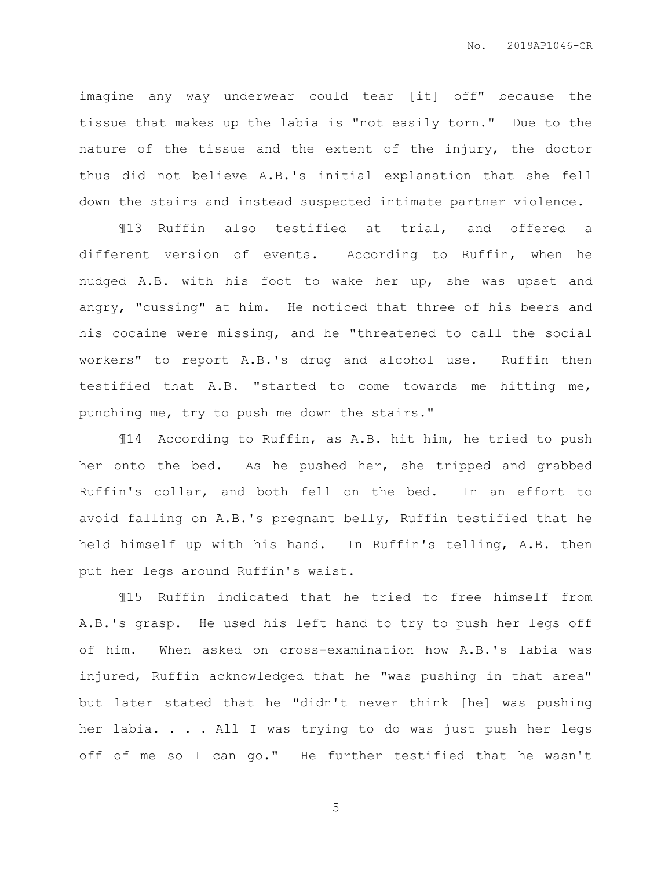imagine any way underwear could tear [it] off" because the tissue that makes up the labia is "not easily torn." Due to the nature of the tissue and the extent of the injury, the doctor thus did not believe A.B.'s initial explanation that she fell down the stairs and instead suspected intimate partner violence.

¶13 Ruffin also testified at trial, and offered a different version of events. According to Ruffin, when he nudged A.B. with his foot to wake her up, she was upset and angry, "cussing" at him. He noticed that three of his beers and his cocaine were missing, and he "threatened to call the social workers" to report A.B.'s drug and alcohol use. Ruffin then testified that A.B. "started to come towards me hitting me, punching me, try to push me down the stairs."

¶14 According to Ruffin, as A.B. hit him, he tried to push her onto the bed. As he pushed her, she tripped and grabbed Ruffin's collar, and both fell on the bed. In an effort to avoid falling on A.B.'s pregnant belly, Ruffin testified that he held himself up with his hand. In Ruffin's telling, A.B. then put her legs around Ruffin's waist.

¶15 Ruffin indicated that he tried to free himself from A.B.'s grasp. He used his left hand to try to push her legs off of him. When asked on cross-examination how A.B.'s labia was injured, Ruffin acknowledged that he "was pushing in that area" but later stated that he "didn't never think [he] was pushing her labia. . . . All I was trying to do was just push her legs off of me so I can go." He further testified that he wasn't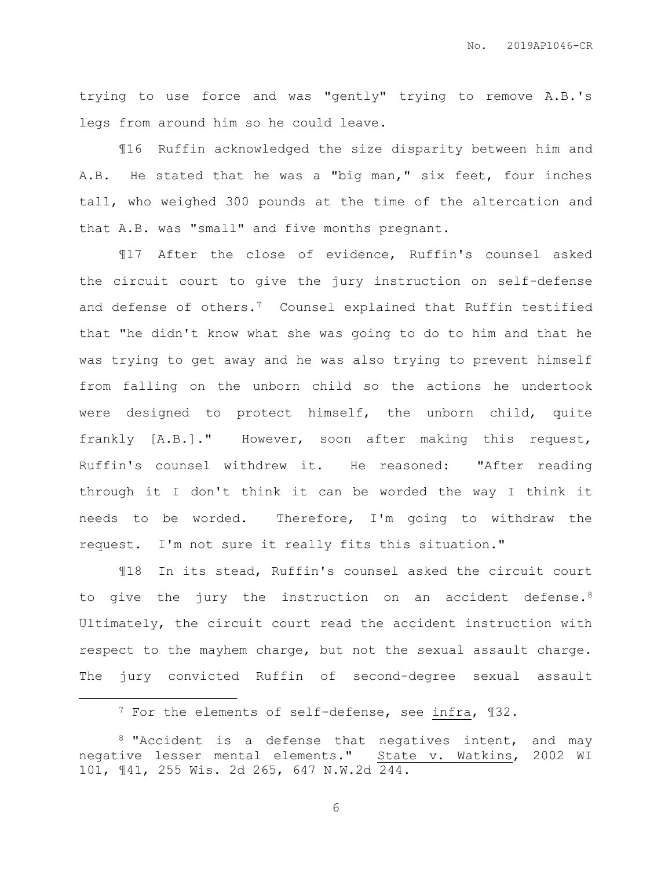trying to use force and was "gently" trying to remove A.B.'s legs from around him so he could leave.

¶16 Ruffin acknowledged the size disparity between him and A.B. He stated that he was a "big man," six feet, four inches tall, who weighed 300 pounds at the time of the altercation and that A.B. was "small" and five months pregnant.

¶17 After the close of evidence, Ruffin's counsel asked the circuit court to give the jury instruction on self-defense and defense of others.<sup>7</sup> Counsel explained that Ruffin testified that "he didn't know what she was going to do to him and that he was trying to get away and he was also trying to prevent himself from falling on the unborn child so the actions he undertook were designed to protect himself, the unborn child, quite frankly [A.B.]." However, soon after making this request, Ruffin's counsel withdrew it. He reasoned: "After reading through it I don't think it can be worded the way I think it needs to be worded. Therefore, I'm going to withdraw the request. I'm not sure it really fits this situation."

¶18 In its stead, Ruffin's counsel asked the circuit court to give the jury the instruction on an accident defense.<sup>8</sup> Ultimately, the circuit court read the accident instruction with respect to the mayhem charge, but not the sexual assault charge. The jury convicted Ruffin of second-degree sexual assault

 $\overline{a}$ 

<sup>7</sup> For the elements of self-defense, see infra, ¶32.

<sup>&</sup>lt;sup>8</sup> "Accident is a defense that negatives intent, and may negative lesser mental elements." State v. Watkins, 2002 WI 101, ¶41, 255 Wis. 2d 265, 647 N.W.2d 244.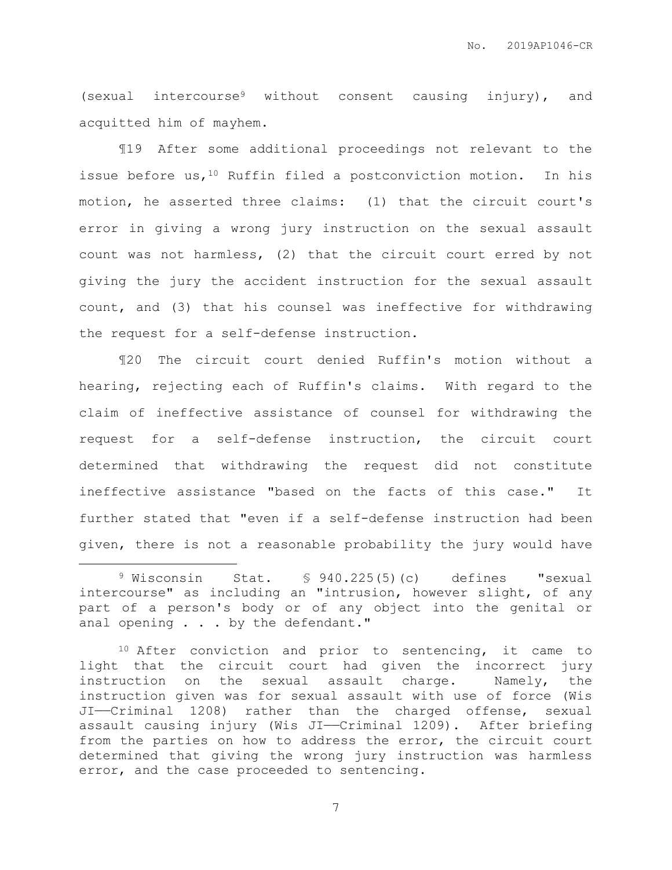(sexual intercourse<sup>9</sup> without consent causing injury), and acquitted him of mayhem.

¶19 After some additional proceedings not relevant to the issue before us,  $10$  Ruffin filed a postconviction motion. In his motion, he asserted three claims: (1) that the circuit court's error in giving a wrong jury instruction on the sexual assault count was not harmless, (2) that the circuit court erred by not giving the jury the accident instruction for the sexual assault count, and (3) that his counsel was ineffective for withdrawing the request for a self-defense instruction.

¶20 The circuit court denied Ruffin's motion without a hearing, rejecting each of Ruffin's claims. With regard to the claim of ineffective assistance of counsel for withdrawing the request for a self-defense instruction, the circuit court determined that withdrawing the request did not constitute ineffective assistance "based on the facts of this case." It further stated that "even if a self-defense instruction had been given, there is not a reasonable probability the jury would have

 $\overline{a}$ 

<sup>10</sup> After conviction and prior to sentencing, it came to light that the circuit court had given the incorrect jury instruction on the sexual assault charge. Namely, the instruction given was for sexual assault with use of force (Wis JI——Criminal 1208) rather than the charged offense, sexual assault causing injury (Wis JI—Criminal 1209). After briefing from the parties on how to address the error, the circuit court determined that giving the wrong jury instruction was harmless error, and the case proceeded to sentencing.

<sup>9</sup> Wisconsin Stat. § 940.225(5)(c) defines "sexual intercourse" as including an "intrusion, however slight, of any part of a person's body or of any object into the genital or anal opening . . . by the defendant."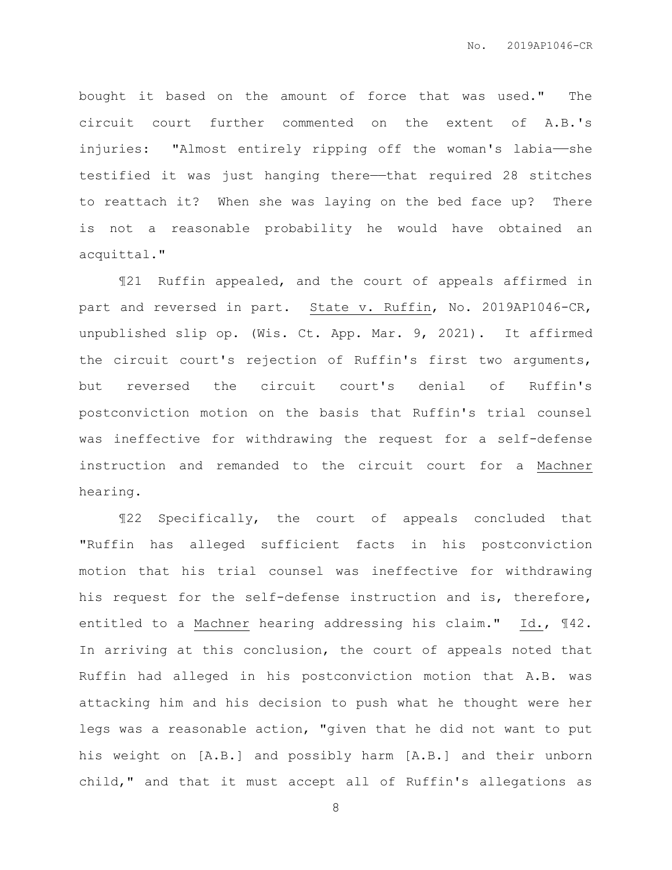bought it based on the amount of force that was used." The circuit court further commented on the extent of A.B.'s injuries: "Almost entirely ripping off the woman's labia——she testified it was just hanging there—that required 28 stitches to reattach it? When she was laying on the bed face up? There is not a reasonable probability he would have obtained an acquittal."

¶21 Ruffin appealed, and the court of appeals affirmed in part and reversed in part. State v. Ruffin, No. 2019AP1046-CR, unpublished slip op. (Wis. Ct. App. Mar. 9, 2021). It affirmed the circuit court's rejection of Ruffin's first two arguments, but reversed the circuit court's denial of Ruffin's postconviction motion on the basis that Ruffin's trial counsel was ineffective for withdrawing the request for a self-defense instruction and remanded to the circuit court for a Machner hearing.

¶22 Specifically, the court of appeals concluded that "Ruffin has alleged sufficient facts in his postconviction motion that his trial counsel was ineffective for withdrawing his request for the self-defense instruction and is, therefore, entitled to a Machner hearing addressing his claim." Id., ¶42. In arriving at this conclusion, the court of appeals noted that Ruffin had alleged in his postconviction motion that A.B. was attacking him and his decision to push what he thought were her legs was a reasonable action, "given that he did not want to put his weight on [A.B.] and possibly harm [A.B.] and their unborn child," and that it must accept all of Ruffin's allegations as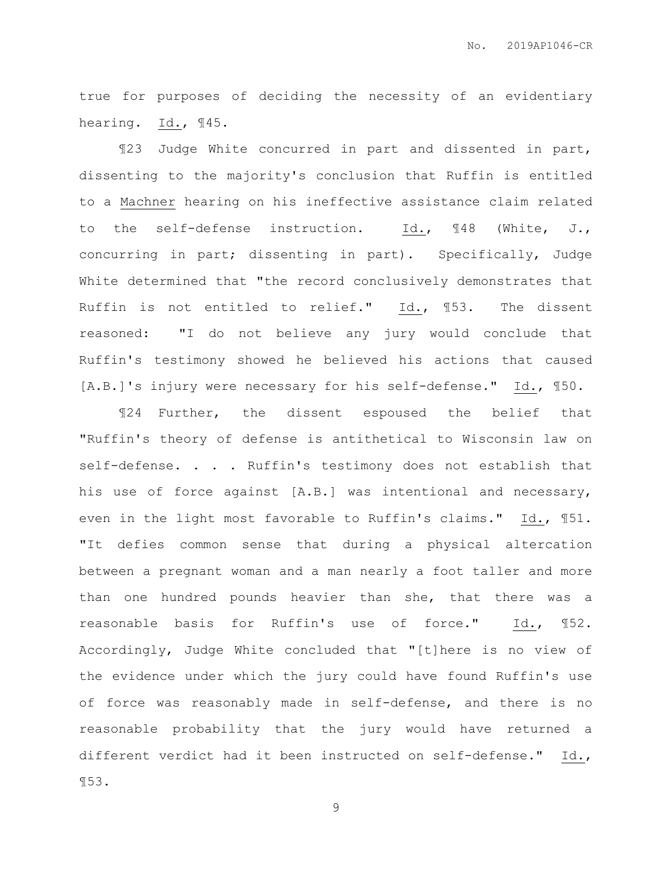true for purposes of deciding the necessity of an evidentiary hearing. Id., ¶45.

¶23 Judge White concurred in part and dissented in part, dissenting to the majority's conclusion that Ruffin is entitled to a Machner hearing on his ineffective assistance claim related to the self-defense instruction. Id., ¶48 (White, J., concurring in part; dissenting in part). Specifically, Judge White determined that "the record conclusively demonstrates that Ruffin is not entitled to relief." Id., ¶53. The dissent reasoned: "I do not believe any jury would conclude that Ruffin's testimony showed he believed his actions that caused [A.B.]'s injury were necessary for his self-defense." Id., ¶50.

¶24 Further, the dissent espoused the belief that "Ruffin's theory of defense is antithetical to Wisconsin law on self-defense. . . . Ruffin's testimony does not establish that his use of force against [A.B.] was intentional and necessary, even in the light most favorable to Ruffin's claims." Id., ¶51. "It defies common sense that during a physical altercation between a pregnant woman and a man nearly a foot taller and more than one hundred pounds heavier than she, that there was a reasonable basis for Ruffin's use of force." Id., ¶52. Accordingly, Judge White concluded that "[t]here is no view of the evidence under which the jury could have found Ruffin's use of force was reasonably made in self-defense, and there is no reasonable probability that the jury would have returned a different verdict had it been instructed on self-defense." Id., ¶53.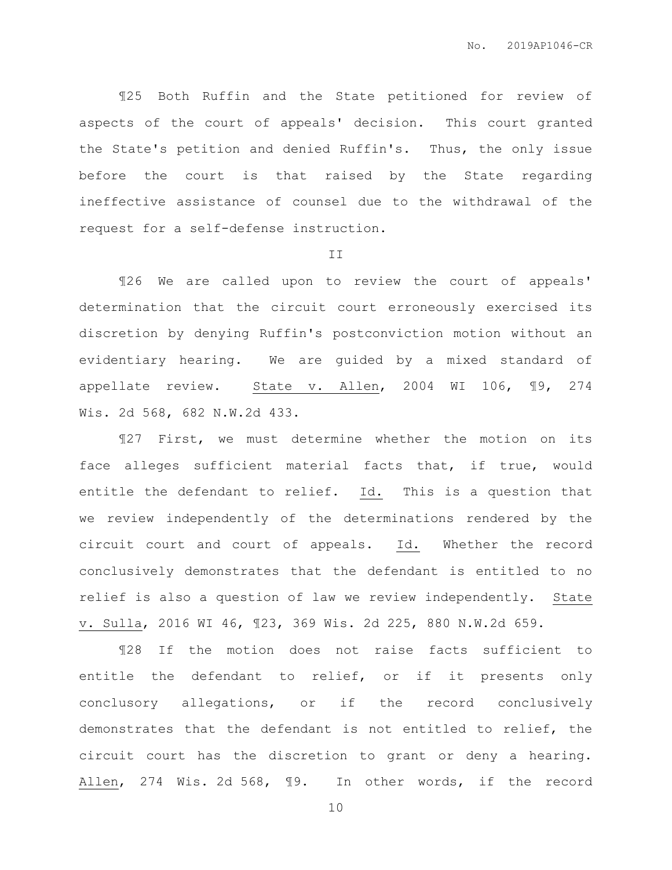¶25 Both Ruffin and the State petitioned for review of aspects of the court of appeals' decision. This court granted the State's petition and denied Ruffin's. Thus, the only issue before the court is that raised by the State regarding ineffective assistance of counsel due to the withdrawal of the request for a self-defense instruction.

#### II

¶26 We are called upon to review the court of appeals' determination that the circuit court erroneously exercised its discretion by denying Ruffin's postconviction motion without an evidentiary hearing. We are guided by a mixed standard of appellate review. State v. Allen, 2004 WI 106, ¶9, 274 Wis. 2d 568, 682 N.W.2d 433.

¶27 First, we must determine whether the motion on its face alleges sufficient material facts that, if true, would entitle the defendant to relief. Id. This is a question that we review independently of the determinations rendered by the circuit court and court of appeals. Id. Whether the record conclusively demonstrates that the defendant is entitled to no relief is also a question of law we review independently. State v. Sulla, 2016 WI 46, ¶23, 369 Wis. 2d 225, 880 N.W.2d 659.

¶28 If the motion does not raise facts sufficient to entitle the defendant to relief, or if it presents only conclusory allegations, or if the record conclusively demonstrates that the defendant is not entitled to relief, the circuit court has the discretion to grant or deny a hearing. Allen, 274 Wis. 2d 568, ¶9. In other words, if the record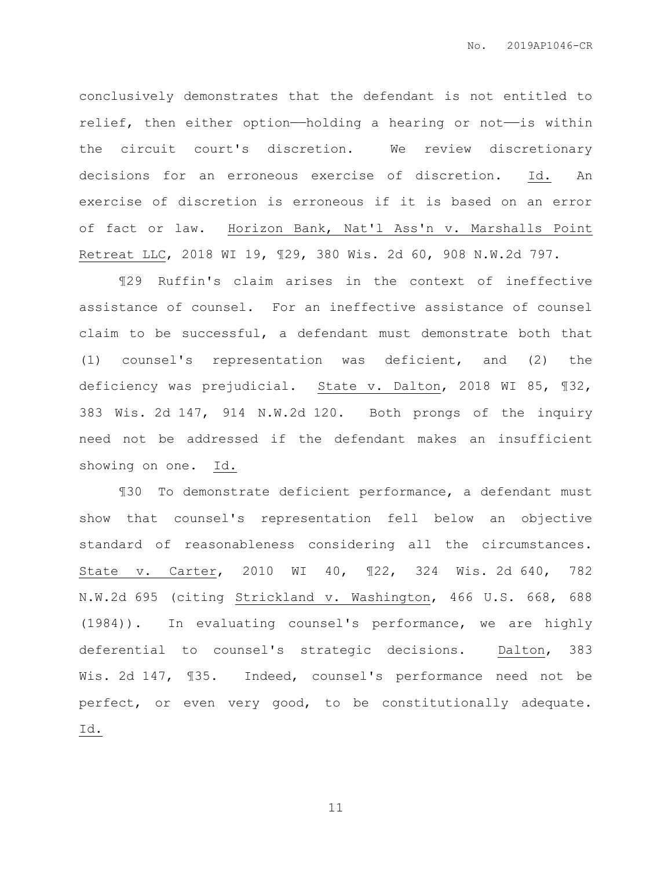conclusively demonstrates that the defendant is not entitled to relief, then either option—holding a hearing or not—is within the circuit court's discretion. We review discretionary decisions for an erroneous exercise of discretion. Id. An exercise of discretion is erroneous if it is based on an error of fact or law. Horizon Bank, Nat'l Ass'n v. Marshalls Point Retreat LLC, 2018 WI 19, ¶29, 380 Wis. 2d 60, 908 N.W.2d 797.

¶29 Ruffin's claim arises in the context of ineffective assistance of counsel. For an ineffective assistance of counsel claim to be successful, a defendant must demonstrate both that (1) counsel's representation was deficient, and (2) the deficiency was prejudicial. State v. Dalton, 2018 WI 85, ¶32, 383 Wis. 2d 147, 914 N.W.2d 120. Both prongs of the inquiry need not be addressed if the defendant makes an insufficient showing on one. Id.

¶30 To demonstrate deficient performance, a defendant must show that counsel's representation fell below an objective standard of reasonableness considering all the circumstances. State v. Carter, 2010 WI 40, ¶22, 324 Wis. 2d 640, 782 N.W.2d 695 (citing Strickland v. Washington, 466 U.S. 668, 688 (1984)). In evaluating counsel's performance, we are highly deferential to counsel's strategic decisions. Dalton, 383 Wis. 2d 147, ¶35. Indeed, counsel's performance need not be perfect, or even very good, to be constitutionally adequate. Id.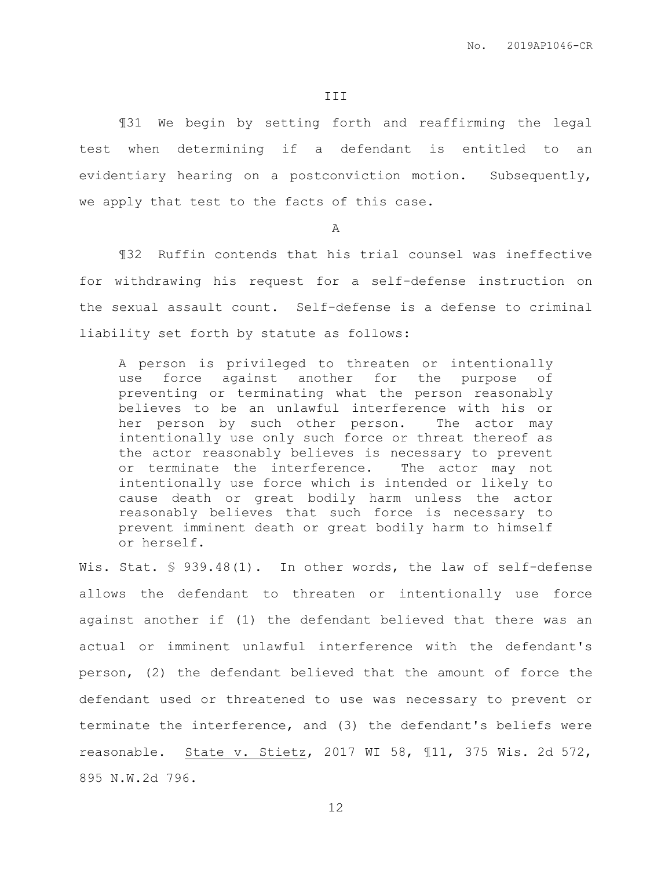¶31 We begin by setting forth and reaffirming the legal test when determining if a defendant is entitled to an evidentiary hearing on a postconviction motion. Subsequently, we apply that test to the facts of this case.

A

¶32 Ruffin contends that his trial counsel was ineffective for withdrawing his request for a self-defense instruction on the sexual assault count. Self-defense is a defense to criminal liability set forth by statute as follows:

A person is privileged to threaten or intentionally use force against another for the purpose of preventing or terminating what the person reasonably believes to be an unlawful interference with his or her person by such other person. The actor may intentionally use only such force or threat thereof as the actor reasonably believes is necessary to prevent or terminate the interference. The actor may not intentionally use force which is intended or likely to cause death or great bodily harm unless the actor reasonably believes that such force is necessary to prevent imminent death or great bodily harm to himself or herself.

Wis. Stat. § 939.48(1). In other words, the law of self-defense allows the defendant to threaten or intentionally use force against another if (1) the defendant believed that there was an actual or imminent unlawful interference with the defendant's person, (2) the defendant believed that the amount of force the defendant used or threatened to use was necessary to prevent or terminate the interference, and (3) the defendant's beliefs were reasonable. State v. Stietz, 2017 WI 58, ¶11, 375 Wis. 2d 572, 895 N.W.2d 796.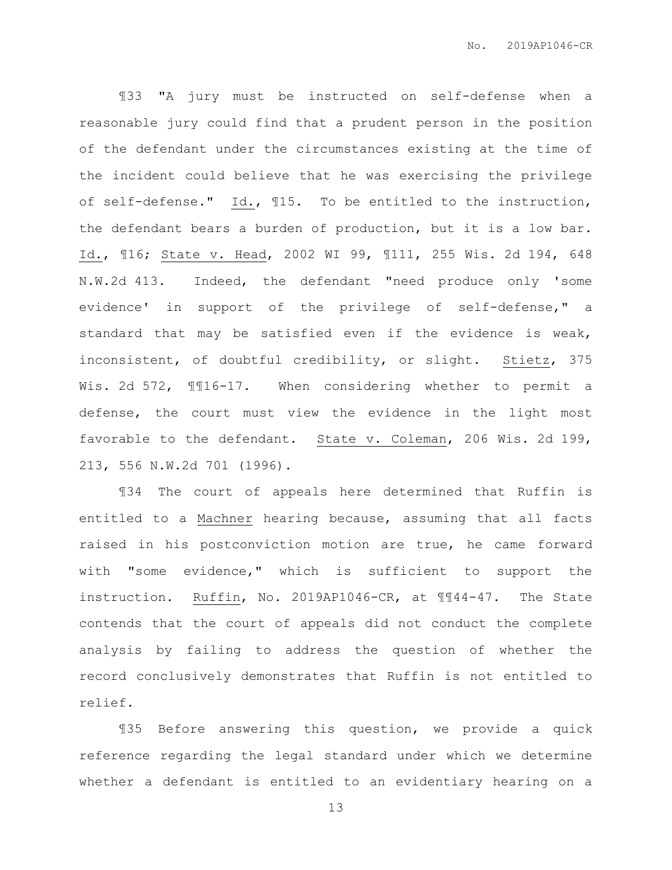¶33 "A jury must be instructed on self-defense when a reasonable jury could find that a prudent person in the position of the defendant under the circumstances existing at the time of the incident could believe that he was exercising the privilege of self-defense." Id., ¶15. To be entitled to the instruction, the defendant bears a burden of production, but it is a low bar. Id., ¶16; State v. Head, 2002 WI 99, ¶111, 255 Wis. 2d 194, 648 N.W.2d 413. Indeed, the defendant "need produce only 'some evidence' in support of the privilege of self-defense," a standard that may be satisfied even if the evidence is weak, inconsistent, of doubtful credibility, or slight. Stietz, 375 Wis. 2d 572,  $\text{\texttt{M16-17.}}$  When considering whether to permit a defense, the court must view the evidence in the light most favorable to the defendant. State v. Coleman, 206 Wis. 2d 199, 213, 556 N.W.2d 701 (1996).

¶34 The court of appeals here determined that Ruffin is entitled to a Machner hearing because, assuming that all facts raised in his postconviction motion are true, he came forward with "some evidence," which is sufficient to support the instruction. Ruffin, No. 2019AP1046-CR, at ¶¶44-47. The State contends that the court of appeals did not conduct the complete analysis by failing to address the question of whether the record conclusively demonstrates that Ruffin is not entitled to relief.

¶35 Before answering this question, we provide a quick reference regarding the legal standard under which we determine whether a defendant is entitled to an evidentiary hearing on a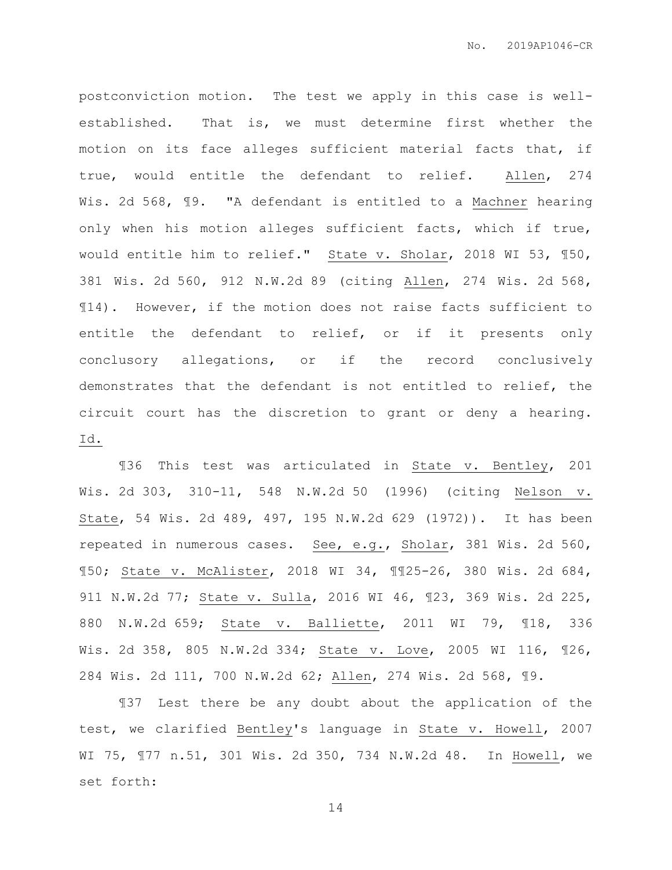postconviction motion. The test we apply in this case is wellestablished. That is, we must determine first whether the motion on its face alleges sufficient material facts that, if true, would entitle the defendant to relief. Allen, 274 Wis. 2d 568, ¶9. "A defendant is entitled to a Machner hearing only when his motion alleges sufficient facts, which if true, would entitle him to relief." State v. Sholar, 2018 WI 53, 150, 381 Wis. 2d 560, 912 N.W.2d 89 (citing Allen, 274 Wis. 2d 568, ¶14). However, if the motion does not raise facts sufficient to entitle the defendant to relief, or if it presents only conclusory allegations, or if the record conclusively demonstrates that the defendant is not entitled to relief, the circuit court has the discretion to grant or deny a hearing. Id.

¶36 This test was articulated in State v. Bentley, 201 Wis. 2d 303, 310-11, 548 N.W.2d 50 (1996) (citing Nelson v. State, 54 Wis. 2d 489, 497, 195 N.W.2d 629 (1972)). It has been repeated in numerous cases. See, e.g., Sholar, 381 Wis. 2d 560, ¶50; State v. McAlister, 2018 WI 34, ¶¶25-26, 380 Wis. 2d 684, 911 N.W.2d 77; State v. Sulla, 2016 WI 46, ¶23, 369 Wis. 2d 225, 880 N.W.2d 659; State v. Balliette, 2011 WI 79, ¶18, 336 Wis. 2d 358, 805 N.W.2d 334; State v. Love, 2005 WI 116, ¶26, 284 Wis. 2d 111, 700 N.W.2d 62; Allen, 274 Wis. 2d 568, ¶9.

¶37 Lest there be any doubt about the application of the test, we clarified Bentley's language in State v. Howell, 2007 WI 75, ¶77 n.51, 301 Wis. 2d 350, 734 N.W.2d 48. In Howell, we set forth: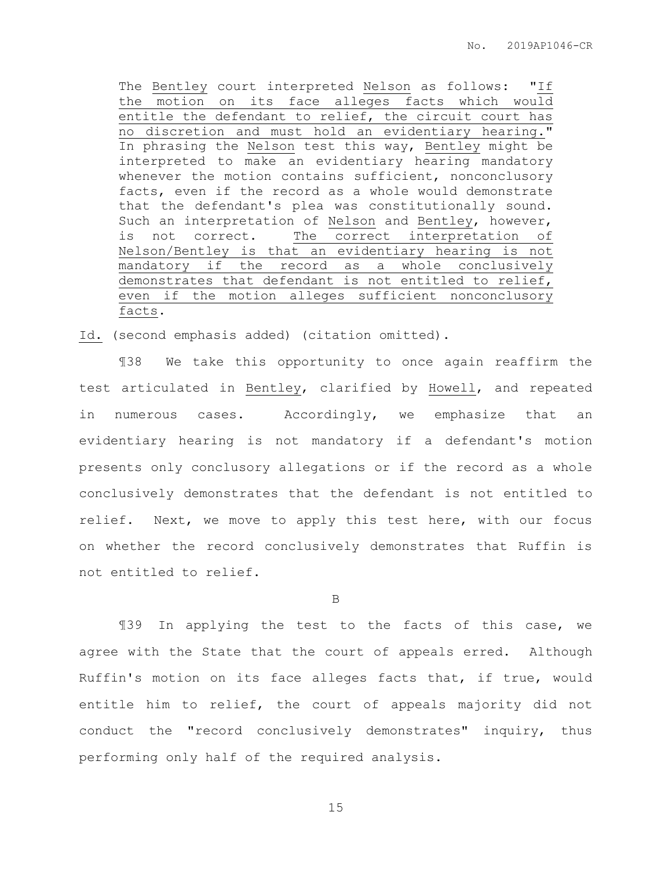No. 2019AP1046-CR

The Bentley court interpreted Nelson as follows: "If the motion on its face alleges facts which would entitle the defendant to relief, the circuit court has no discretion and must hold an evidentiary hearing." In phrasing the Nelson test this way, Bentley might be interpreted to make an evidentiary hearing mandatory whenever the motion contains sufficient, nonconclusory facts, even if the record as a whole would demonstrate that the defendant's plea was constitutionally sound. Such an interpretation of Nelson and Bentley, however, is not correct. The correct interpretation of Nelson/Bentley is that an evidentiary hearing is not mandatory if the record as a whole conclusively demonstrates that defendant is not entitled to relief, even if the motion alleges sufficient nonconclusory facts.

Id. (second emphasis added) (citation omitted).

¶38 We take this opportunity to once again reaffirm the test articulated in Bentley, clarified by Howell, and repeated in numerous cases. Accordingly, we emphasize that an evidentiary hearing is not mandatory if a defendant's motion presents only conclusory allegations or if the record as a whole conclusively demonstrates that the defendant is not entitled to relief. Next, we move to apply this test here, with our focus on whether the record conclusively demonstrates that Ruffin is not entitled to relief.

B

¶39 In applying the test to the facts of this case, we agree with the State that the court of appeals erred. Although Ruffin's motion on its face alleges facts that, if true, would entitle him to relief, the court of appeals majority did not conduct the "record conclusively demonstrates" inquiry, thus performing only half of the required analysis.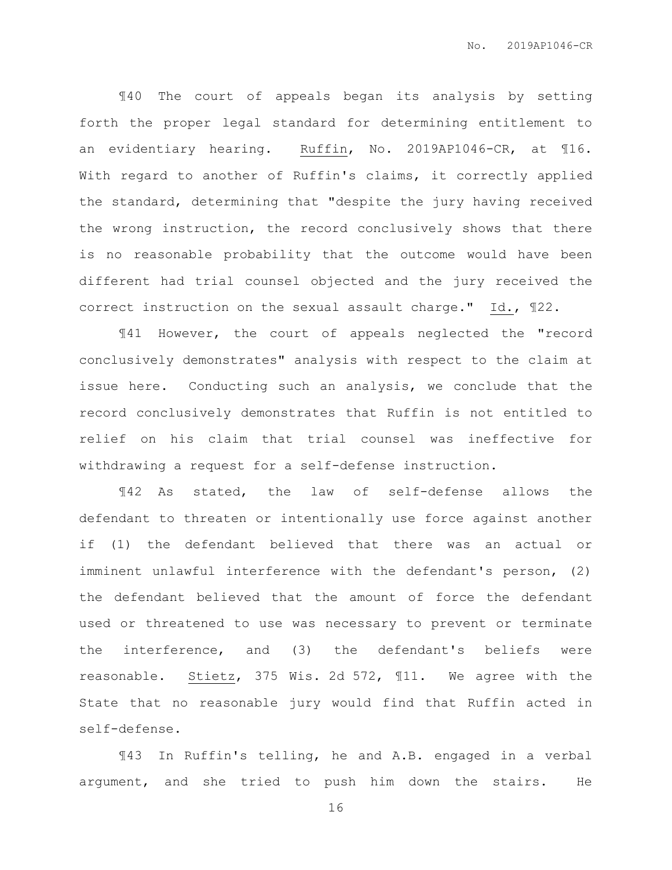¶40 The court of appeals began its analysis by setting forth the proper legal standard for determining entitlement to an evidentiary hearing. Ruffin, No. 2019AP1046-CR, at ¶16. With regard to another of Ruffin's claims, it correctly applied the standard, determining that "despite the jury having received the wrong instruction, the record conclusively shows that there is no reasonable probability that the outcome would have been different had trial counsel objected and the jury received the correct instruction on the sexual assault charge." Id., ¶22.

¶41 However, the court of appeals neglected the "record conclusively demonstrates" analysis with respect to the claim at issue here. Conducting such an analysis, we conclude that the record conclusively demonstrates that Ruffin is not entitled to relief on his claim that trial counsel was ineffective for withdrawing a request for a self-defense instruction.

¶42 As stated, the law of self-defense allows the defendant to threaten or intentionally use force against another if (1) the defendant believed that there was an actual or imminent unlawful interference with the defendant's person, (2) the defendant believed that the amount of force the defendant used or threatened to use was necessary to prevent or terminate the interference, and (3) the defendant's beliefs were reasonable. Stietz, 375 Wis. 2d 572, ¶11. We agree with the State that no reasonable jury would find that Ruffin acted in self-defense.

¶43 In Ruffin's telling, he and A.B. engaged in a verbal argument, and she tried to push him down the stairs. He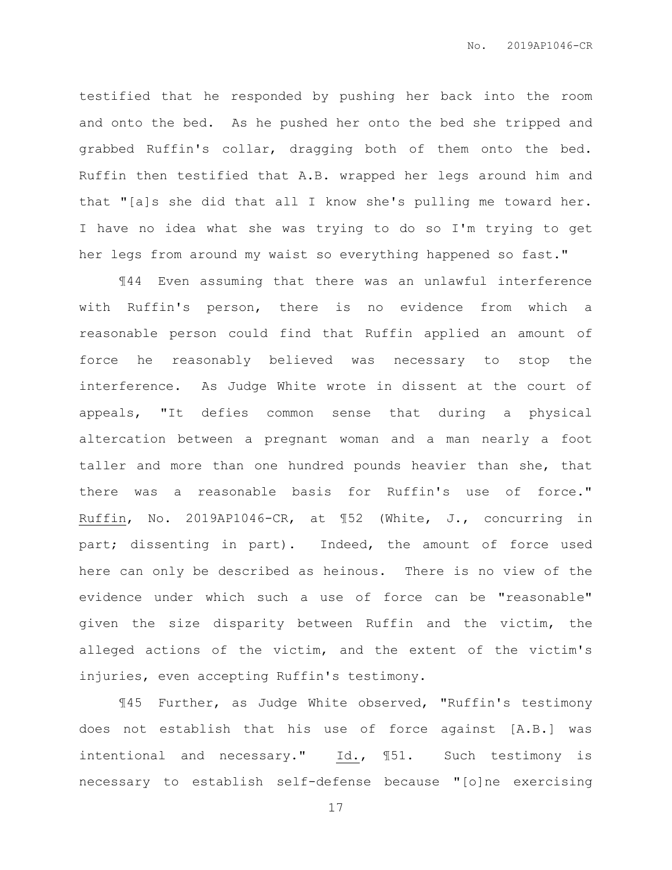testified that he responded by pushing her back into the room and onto the bed. As he pushed her onto the bed she tripped and grabbed Ruffin's collar, dragging both of them onto the bed. Ruffin then testified that A.B. wrapped her legs around him and that "[a]s she did that all I know she's pulling me toward her. I have no idea what she was trying to do so I'm trying to get her legs from around my waist so everything happened so fast."

¶44 Even assuming that there was an unlawful interference with Ruffin's person, there is no evidence from which a reasonable person could find that Ruffin applied an amount of force he reasonably believed was necessary to stop the interference. As Judge White wrote in dissent at the court of appeals, "It defies common sense that during a physical altercation between a pregnant woman and a man nearly a foot taller and more than one hundred pounds heavier than she, that there was a reasonable basis for Ruffin's use of force." Ruffin, No. 2019AP1046-CR, at ¶52 (White, J., concurring in part; dissenting in part). Indeed, the amount of force used here can only be described as heinous. There is no view of the evidence under which such a use of force can be "reasonable" given the size disparity between Ruffin and the victim, the alleged actions of the victim, and the extent of the victim's injuries, even accepting Ruffin's testimony.

¶45 Further, as Judge White observed, "Ruffin's testimony does not establish that his use of force against [A.B.] was intentional and necessary." Id., ¶51. Such testimony is necessary to establish self-defense because "[o]ne exercising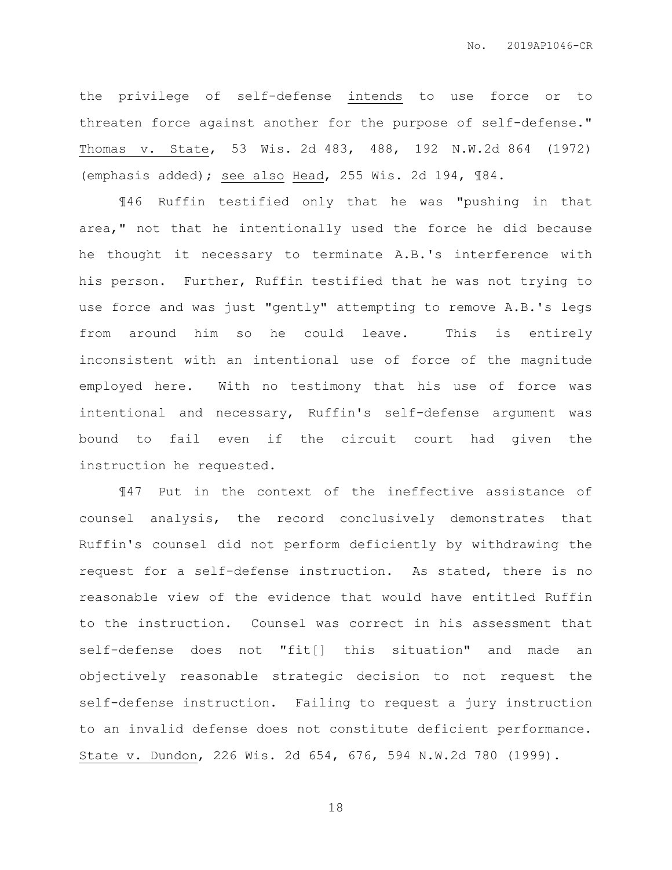the privilege of self-defense intends to use force or to threaten force against another for the purpose of self-defense." Thomas v. State, 53 Wis. 2d 483, 488, 192 N.W.2d 864 (1972) (emphasis added); see also Head, 255 Wis. 2d 194, ¶84.

¶46 Ruffin testified only that he was "pushing in that area," not that he intentionally used the force he did because he thought it necessary to terminate A.B.'s interference with his person. Further, Ruffin testified that he was not trying to use force and was just "gently" attempting to remove A.B.'s legs from around him so he could leave. This is entirely inconsistent with an intentional use of force of the magnitude employed here. With no testimony that his use of force was intentional and necessary, Ruffin's self-defense argument was bound to fail even if the circuit court had given the instruction he requested.

¶47 Put in the context of the ineffective assistance of counsel analysis, the record conclusively demonstrates that Ruffin's counsel did not perform deficiently by withdrawing the request for a self-defense instruction. As stated, there is no reasonable view of the evidence that would have entitled Ruffin to the instruction. Counsel was correct in his assessment that self-defense does not "fit[] this situation" and made an objectively reasonable strategic decision to not request the self-defense instruction. Failing to request a jury instruction to an invalid defense does not constitute deficient performance. State v. Dundon, 226 Wis. 2d 654, 676, 594 N.W.2d 780 (1999).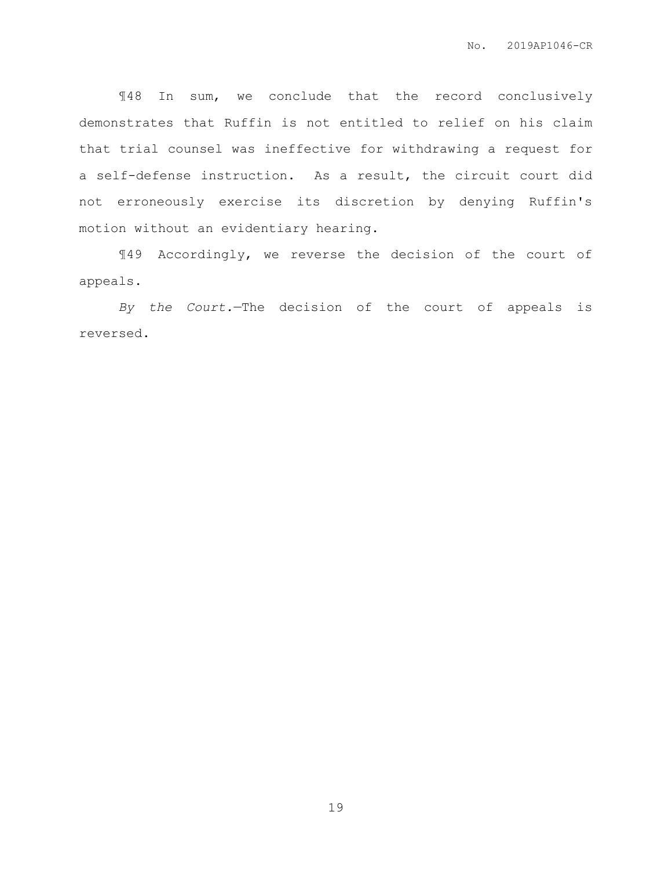¶48 In sum, we conclude that the record conclusively demonstrates that Ruffin is not entitled to relief on his claim that trial counsel was ineffective for withdrawing a request for a self-defense instruction. As a result, the circuit court did not erroneously exercise its discretion by denying Ruffin's motion without an evidentiary hearing.

¶49 Accordingly, we reverse the decision of the court of appeals.

*By the Court.*—The decision of the court of appeals is reversed.